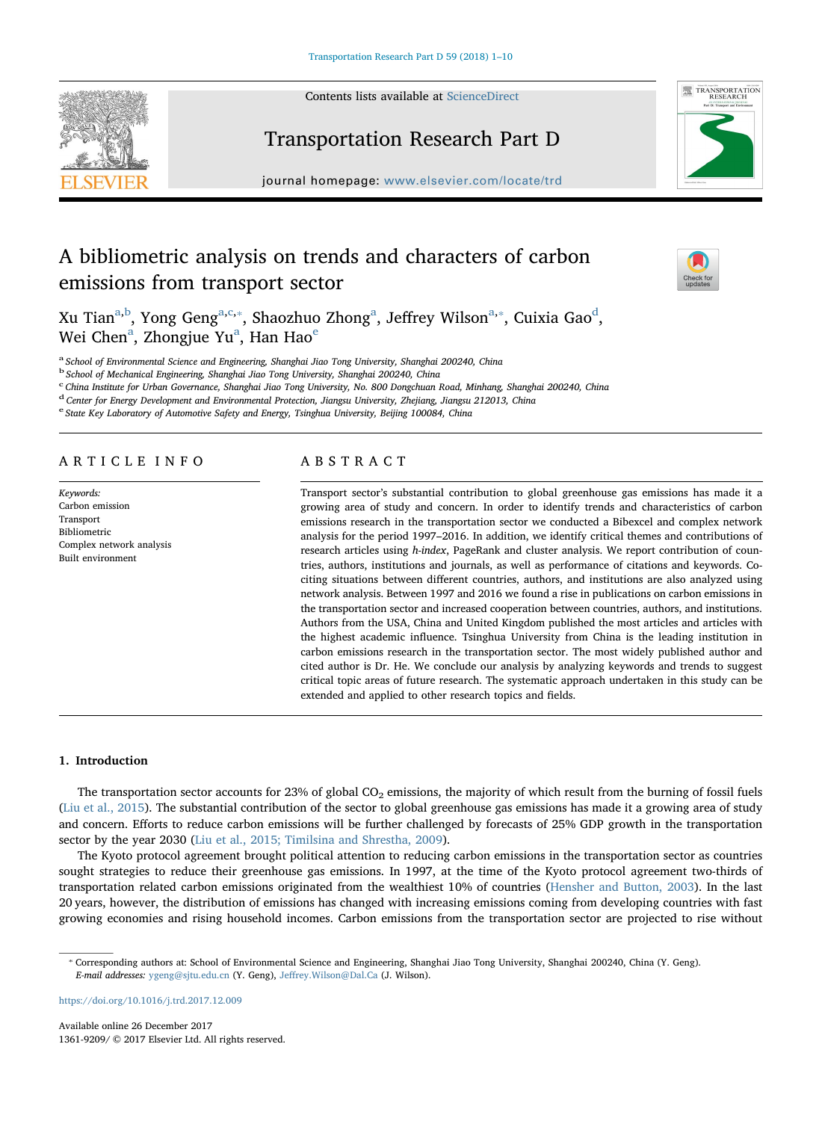Contents lists available at [ScienceDirect](http://eproxy2.lib.tsinghua.edu.cn:80/rwt/33/http/P75YPLUUMNVXK5UDMWTGT6UFMN4C6Z5QNF/science/journal/13619209)





# Transportation Research Part D

journal homepage: [www.elsevier.com/locate/trd](https://www.elsevier.com/locate/trd)

# A bibliometric analysis on trends and characters of carbon emissions from transport sector

ne<sup>1</sup>

Xu Tian<sup>a[,b](#page-0-1)</sup>, Yong Geng<sup>[a,](#page-0-0)[c,](#page-0-2)</sup>\*, Sh[a](#page-0-0)ozhuo Zhong<sup>a</sup>, Jeffrey Wilson<sup>a,</sup>\*, Cuixia Gao<sup>d</sup>, Wei Chen<sup>[a](#page-0-0)</sup>, Zhongju[e](#page-0-5) Yu<sup>a</sup>, Han Hao<sup>e</sup>

<span id="page-0-0"></span><sup>a</sup> School of Environmental Science and Engineering, Shanghai Jiao Tong University, Shanghai 200240, China

<span id="page-0-1"></span><sup>b</sup> School of Mechanical Engineering, Shanghai Jiao Tong University, Shanghai 200240, China

<span id="page-0-2"></span>c China Institute for Urban Governance, Shanghai Jiao Tong University, No. 800 Dongchuan Road, Minhang, Shanghai 200240, China

<span id="page-0-4"></span><sup>d</sup> Center for Energy Development and Environmental Protection, Jiangsu University, Zhejiang, Jiangsu 212013, China

<span id="page-0-5"></span><sup>e</sup> State Key Laboratory of Automotive Safety and Energy, Tsinghua University, Beijing 100084, China

## ARTICLE INFO

Keywords: Carbon emission Transport Bibliometric Complex network analysis Built environment

# ABSTRACT

Transport sector's substantial contribution to global greenhouse gas emissions has made it a growing area of study and concern. In order to identify trends and characteristics of carbon emissions research in the transportation sector we conducted a Bibexcel and complex network analysis for the period 1997–2016. In addition, we identify critical themes and contributions of research articles using h-index, PageRank and cluster analysis. We report contribution of countries, authors, institutions and journals, as well as performance of citations and keywords. Cociting situations between different countries, authors, and institutions are also analyzed using network analysis. Between 1997 and 2016 we found a rise in publications on carbon emissions in the transportation sector and increased cooperation between countries, authors, and institutions. Authors from the USA, China and United Kingdom published the most articles and articles with the highest academic influence. Tsinghua University from China is the leading institution in carbon emissions research in the transportation sector. The most widely published author and cited author is Dr. He. We conclude our analysis by analyzing keywords and trends to suggest critical topic areas of future research. The systematic approach undertaken in this study can be extended and applied to other research topics and fields.

## 1. Introduction

The transportation sector accounts for 23% of global  $CO<sub>2</sub>$  emissions, the majority of which result from the burning of fossil fuels ([Liu et al., 2015\)](#page-9-0). The substantial contribution of the sector to global greenhouse gas emissions has made it a growing area of study and concern. Efforts to reduce carbon emissions will be further challenged by forecasts of 25% GDP growth in the transportation sector by the year 2030 [\(Liu et al., 2015; Timilsina and Shrestha, 2009](#page-9-0)).

The Kyoto protocol agreement brought political attention to reducing carbon emissions in the transportation sector as countries sought strategies to reduce their greenhouse gas emissions. In 1997, at the time of the Kyoto protocol agreement two-thirds of transportation related carbon emissions originated from the wealthiest 10% of countries ([Hensher and Button, 2003\)](#page-8-0). In the last 20 years, however, the distribution of emissions has changed with increasing emissions coming from developing countries with fast growing economies and rising household incomes. Carbon emissions from the transportation sector are projected to rise without

<https://doi.org/10.1016/j.trd.2017.12.009>

<span id="page-0-3"></span><sup>⁎</sup> Corresponding authors at: School of Environmental Science and Engineering, Shanghai Jiao Tong University, Shanghai 200240, China (Y. Geng). E-mail addresses: [ygeng@sjtu.edu.cn](mailto:ygeng@sjtu.edu.cn) (Y. Geng), Jeff[rey.Wilson@Dal.Ca](mailto:Jeffrey.Wilson@Dal.Ca) (J. Wilson).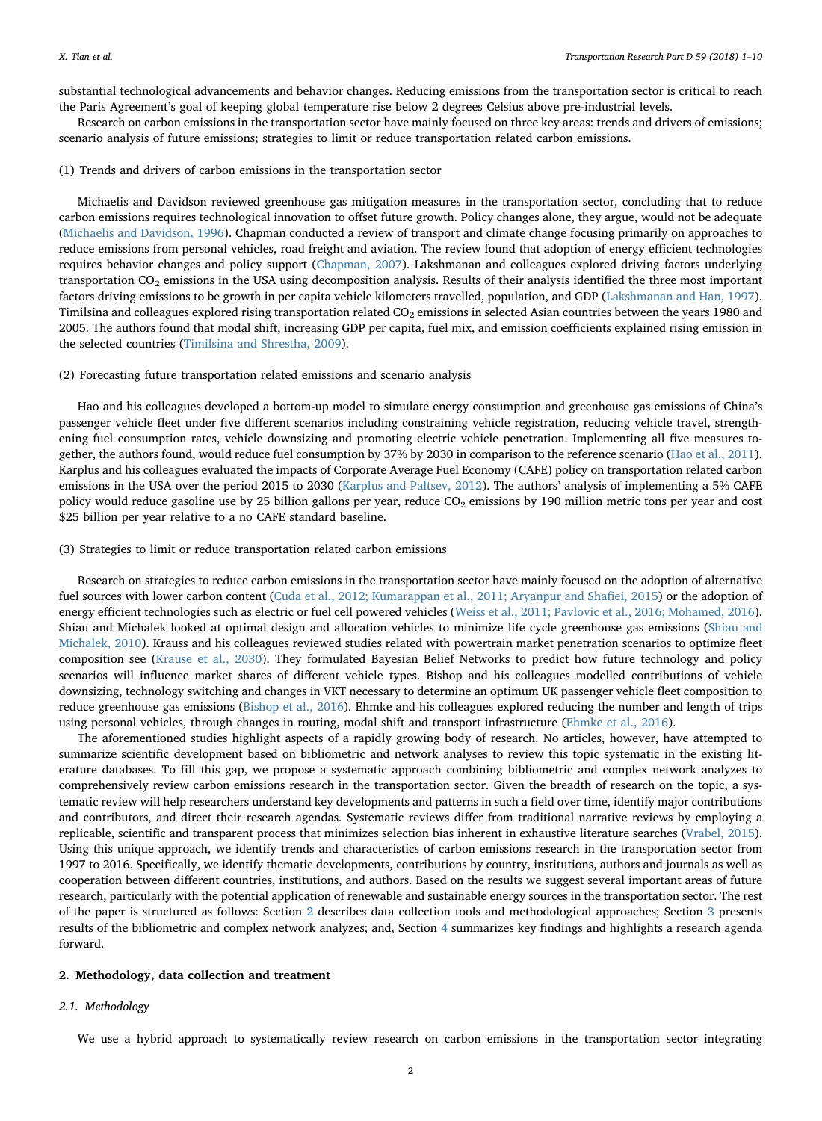substantial technological advancements and behavior changes. Reducing emissions from the transportation sector is critical to reach the Paris Agreement's goal of keeping global temperature rise below 2 degrees Celsius above pre-industrial levels.

Research on carbon emissions in the transportation sector have mainly focused on three key areas: trends and drivers of emissions; scenario analysis of future emissions; strategies to limit or reduce transportation related carbon emissions.

#### (1) Trends and drivers of carbon emissions in the transportation sector

Michaelis and Davidson reviewed greenhouse gas mitigation measures in the transportation sector, concluding that to reduce carbon emissions requires technological innovation to offset future growth. Policy changes alone, they argue, would not be adequate ([Michaelis and Davidson, 1996\)](#page-9-1). Chapman conducted a review of transport and climate change focusing primarily on approaches to reduce emissions from personal vehicles, road freight and aviation. The review found that adoption of energy efficient technologies requires behavior changes and policy support ([Chapman, 2007](#page-8-1)). Lakshmanan and colleagues explored driving factors underlying transportation CO<sub>2</sub> emissions in the USA using decomposition analysis. Results of their analysis identified the three most important factors driving emissions to be growth in per capita vehicle kilometers travelled, population, and GDP ([Lakshmanan and Han, 1997](#page-9-2)). Timilsina and colleagues explored rising transportation related CO<sub>2</sub> emissions in selected Asian countries between the years 1980 and 2005. The authors found that modal shift, increasing GDP per capita, fuel mix, and emission coefficients explained rising emission in the selected countries ([Timilsina and Shrestha, 2009](#page-9-3)).

#### (2) Forecasting future transportation related emissions and scenario analysis

Hao and his colleagues developed a bottom-up model to simulate energy consumption and greenhouse gas emissions of China's passenger vehicle fleet under five different scenarios including constraining vehicle registration, reducing vehicle travel, strengthening fuel consumption rates, vehicle downsizing and promoting electric vehicle penetration. Implementing all five measures together, the authors found, would reduce fuel consumption by 37% by 2030 in comparison to the reference scenario ([Hao et al., 2011](#page-8-2)). Karplus and his colleagues evaluated the impacts of Corporate Average Fuel Economy (CAFE) policy on transportation related carbon emissions in the USA over the period 2015 to 2030 ([Karplus and Paltsev, 2012\)](#page-8-3). The authors' analysis of implementing a 5% CAFE policy would reduce gasoline use by 25 billion gallons per year, reduce CO<sub>2</sub> emissions by 190 million metric tons per year and cost \$25 billion per year relative to a no CAFE standard baseline.

#### (3) Strategies to limit or reduce transportation related carbon emissions

Research on strategies to reduce carbon emissions in the transportation sector have mainly focused on the adoption of alternative fuel sources with lower carbon content ([Cuda et al., 2012; Kumarappan et al., 2011; Aryanpur and Sha](#page-8-4)fiei, 2015) or the adoption of energy efficient technologies such as electric or fuel cell powered vehicles ([Weiss et al., 2011; Pavlovic et al., 2016; Mohamed, 2016](#page-9-4)). Shiau and Michalek looked at optimal design and allocation vehicles to minimize life cycle greenhouse gas emissions [\(Shiau and](#page-9-5) [Michalek, 2010\)](#page-9-5). Krauss and his colleagues reviewed studies related with powertrain market penetration scenarios to optimize fleet composition see [\(Krause et al., 2030\)](#page-8-5). They formulated Bayesian Belief Networks to predict how future technology and policy scenarios will influence market shares of different vehicle types. Bishop and his colleagues modelled contributions of vehicle downsizing, technology switching and changes in VKT necessary to determine an optimum UK passenger vehicle fleet composition to reduce greenhouse gas emissions [\(Bishop et al., 2016\)](#page-8-6). Ehmke and his colleagues explored reducing the number and length of trips using personal vehicles, through changes in routing, modal shift and transport infrastructure [\(Ehmke et al., 2016\)](#page-8-7).

The aforementioned studies highlight aspects of a rapidly growing body of research. No articles, however, have attempted to summarize scientific development based on bibliometric and network analyses to review this topic systematic in the existing literature databases. To fill this gap, we propose a systematic approach combining bibliometric and complex network analyzes to comprehensively review carbon emissions research in the transportation sector. Given the breadth of research on the topic, a systematic review will help researchers understand key developments and patterns in such a field over time, identify major contributions and contributors, and direct their research agendas. Systematic reviews differ from traditional narrative reviews by employing a replicable, scientific and transparent process that minimizes selection bias inherent in exhaustive literature searches [\(Vrabel, 2015](#page-9-6)). Using this unique approach, we identify trends and characteristics of carbon emissions research in the transportation sector from 1997 to 2016. Specifically, we identify thematic developments, contributions by country, institutions, authors and journals as well as cooperation between different countries, institutions, and authors. Based on the results we suggest several important areas of future research, particularly with the potential application of renewable and sustainable energy sources in the transportation sector. The rest of the paper is structured as follows: Section [2](#page-1-0) describes data collection tools and methodological approaches; Section [3](#page-3-0) presents results of the bibliometric and complex network analyzes; and, Section [4](#page-8-8) summarizes key findings and highlights a research agenda forward.

#### <span id="page-1-0"></span>2. Methodology, data collection and treatment

#### 2.1. Methodology

We use a hybrid approach to systematically review research on carbon emissions in the transportation sector integrating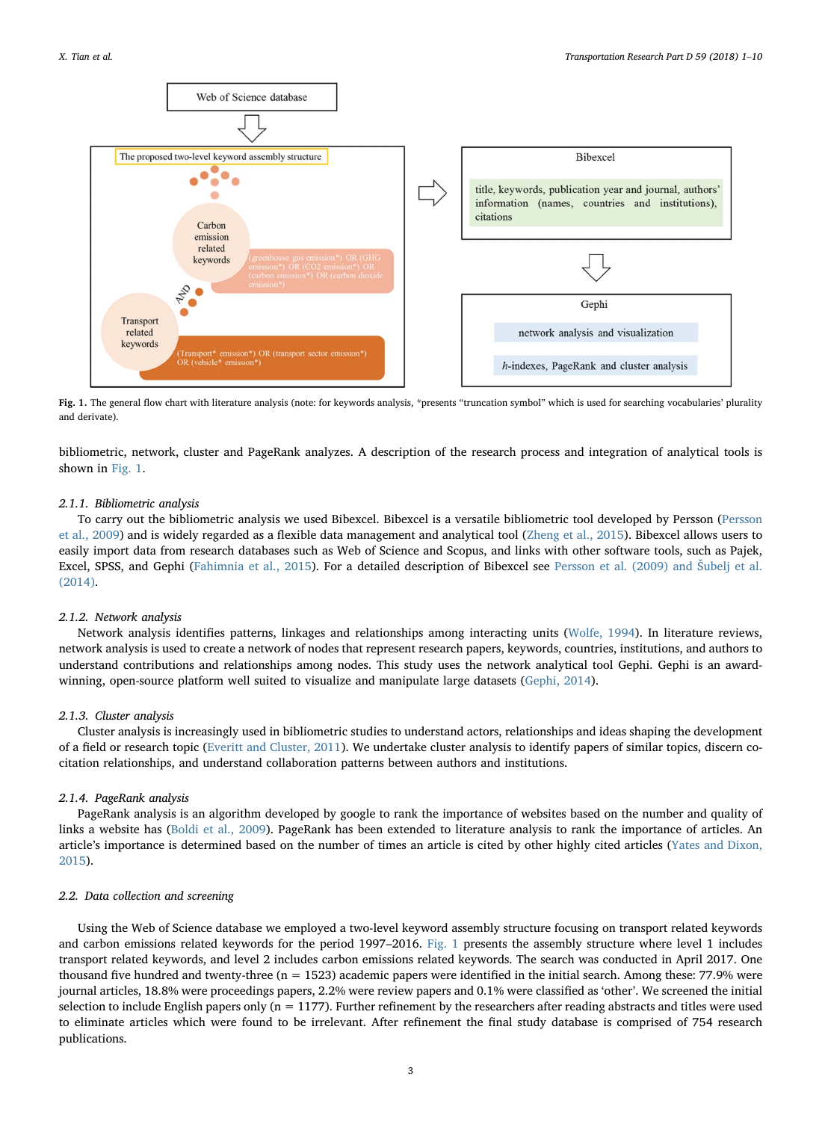<span id="page-2-0"></span>

Fig. 1. The general flow chart with literature analysis (note: for keywords analysis, \*presents "truncation symbol" which is used for searching vocabularies' plurality and derivate).

bibliometric, network, cluster and PageRank analyzes. A description of the research process and integration of analytical tools is shown in [Fig. 1](#page-2-0).

## 2.1.1. Bibliometric analysis

To carry out the bibliometric analysis we used Bibexcel. Bibexcel is a versatile bibliometric tool developed by Persson [\(Persson](#page-9-7) [et al., 2009](#page-9-7)) and is widely regarded as a flexible data management and analytical tool [\(Zheng et al., 2015](#page-9-8)). Bibexcel allows users to easily import data from research databases such as Web of Science and Scopus, and links with other software tools, such as Pajek, Excel, SPSS, and Gephi ([Fahimnia et al., 2015](#page-8-9)). For a detailed description of Bibexcel see [Persson et al. \(2009\) and](#page-9-7) Šubelj et al. [\(2014\).](#page-9-7)

## 2.1.2. Network analysis

Network analysis identifies patterns, linkages and relationships among interacting units [\(Wolfe, 1994\)](#page-9-9). In literature reviews, network analysis is used to create a network of nodes that represent research papers, keywords, countries, institutions, and authors to understand contributions and relationships among nodes. This study uses the network analytical tool Gephi. Gephi is an awardwinning, open-source platform well suited to visualize and manipulate large datasets ([Gephi, 2014\)](#page-8-10).

#### 2.1.3. Cluster analysis

Cluster analysis is increasingly used in bibliometric studies to understand actors, relationships and ideas shaping the development of a field or research topic [\(Everitt and Cluster, 2011](#page-8-11)). We undertake cluster analysis to identify papers of similar topics, discern cocitation relationships, and understand collaboration patterns between authors and institutions.

## 2.1.4. PageRank analysis

PageRank analysis is an algorithm developed by google to rank the importance of websites based on the number and quality of links a website has [\(Boldi et al., 2009](#page-8-12)). PageRank has been extended to literature analysis to rank the importance of articles. An article's importance is determined based on the number of times an article is cited by other highly cited articles ([Yates and Dixon,](#page-9-10) [2015\)](#page-9-10).

## 2.2. Data collection and screening

Using the Web of Science database we employed a two-level keyword assembly structure focusing on transport related keywords and carbon emissions related keywords for the period 1997–2016. [Fig. 1](#page-2-0) presents the assembly structure where level 1 includes transport related keywords, and level 2 includes carbon emissions related keywords. The search was conducted in April 2017. One thousand five hundred and twenty-three ( $n = 1523$ ) academic papers were identified in the initial search. Among these: 77.9% were journal articles, 18.8% were proceedings papers, 2.2% were review papers and 0.1% were classified as 'other'. We screened the initial selection to include English papers only ( $n = 1177$ ). Further refinement by the researchers after reading abstracts and titles were used to eliminate articles which were found to be irrelevant. After refinement the final study database is comprised of 754 research publications.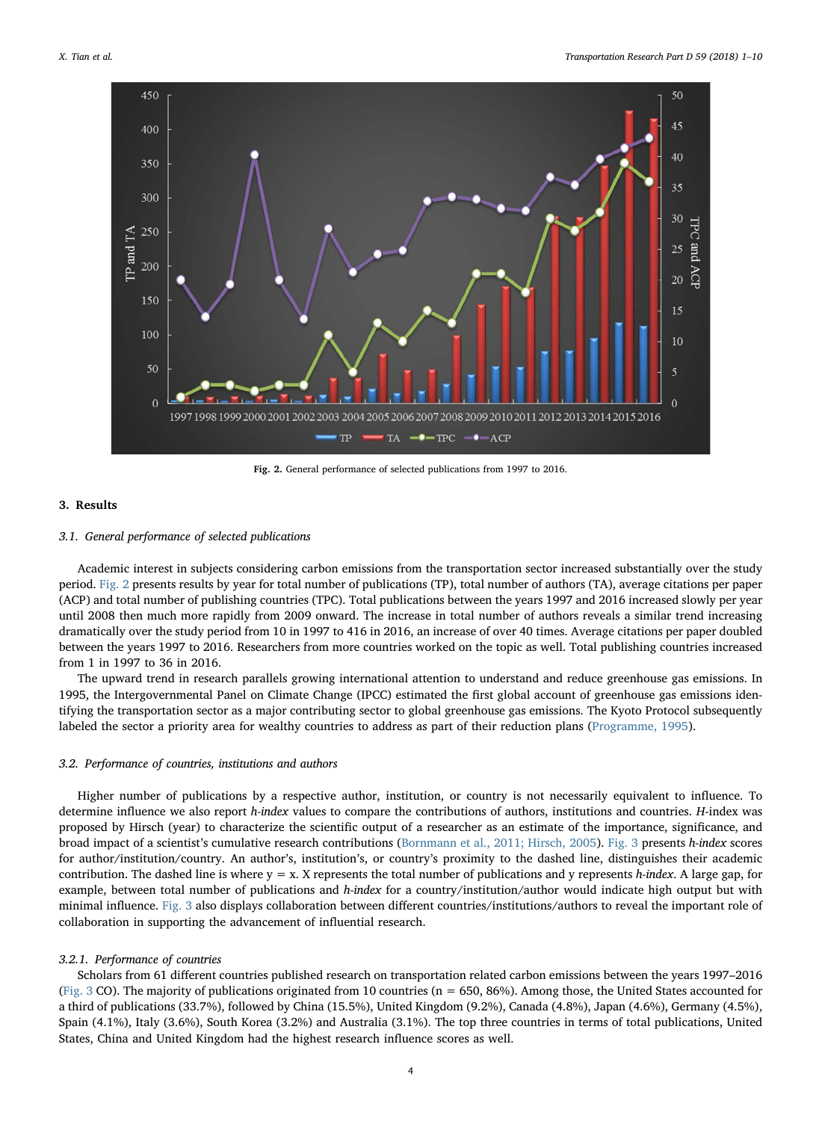<span id="page-3-1"></span>

Fig. 2. General performance of selected publications from 1997 to 2016.

## <span id="page-3-0"></span>3. Results

## 3.1. General performance of selected publications

Academic interest in subjects considering carbon emissions from the transportation sector increased substantially over the study period. [Fig. 2](#page-3-1) presents results by year for total number of publications (TP), total number of authors (TA), average citations per paper (ACP) and total number of publishing countries (TPC). Total publications between the years 1997 and 2016 increased slowly per year until 2008 then much more rapidly from 2009 onward. The increase in total number of authors reveals a similar trend increasing dramatically over the study period from 10 in 1997 to 416 in 2016, an increase of over 40 times. Average citations per paper doubled between the years 1997 to 2016. Researchers from more countries worked on the topic as well. Total publishing countries increased from 1 in 1997 to 36 in 2016.

The upward trend in research parallels growing international attention to understand and reduce greenhouse gas emissions. In 1995, the Intergovernmental Panel on Climate Change (IPCC) estimated the first global account of greenhouse gas emissions identifying the transportation sector as a major contributing sector to global greenhouse gas emissions. The Kyoto Protocol subsequently labeled the sector a priority area for wealthy countries to address as part of their reduction plans [\(Programme, 1995](#page-9-11)).

#### 3.2. Performance of countries, institutions and authors

Higher number of publications by a respective author, institution, or country is not necessarily equivalent to influence. To determine influence we also report h-index values to compare the contributions of authors, institutions and countries. H-index was proposed by Hirsch (year) to characterize the scientific output of a researcher as an estimate of the importance, significance, and broad impact of a scientist's cumulative research contributions ([Bornmann et al., 2011; Hirsch, 2005](#page-8-13)). [Fig. 3](#page-4-0) presents h-index scores for author/institution/country. An author's, institution's, or country's proximity to the dashed line, distinguishes their academic contribution. The dashed line is where  $y = x$ . X represents the total number of publications and y represents h-index. A large gap, for example, between total number of publications and h-index for a country/institution/author would indicate high output but with minimal influence. [Fig. 3](#page-4-0) also displays collaboration between different countries/institutions/authors to reveal the important role of collaboration in supporting the advancement of influential research.

#### 3.2.1. Performance of countries

Scholars from 61 different countries published research on transportation related carbon emissions between the years 1997–2016 ([Fig. 3](#page-4-0) CO). The majority of publications originated from 10 countries ( $n = 650, 86\%$ ). Among those, the United States accounted for a third of publications (33.7%), followed by China (15.5%), United Kingdom (9.2%), Canada (4.8%), Japan (4.6%), Germany (4.5%), Spain (4.1%), Italy (3.6%), South Korea (3.2%) and Australia (3.1%). The top three countries in terms of total publications, United States, China and United Kingdom had the highest research influence scores as well.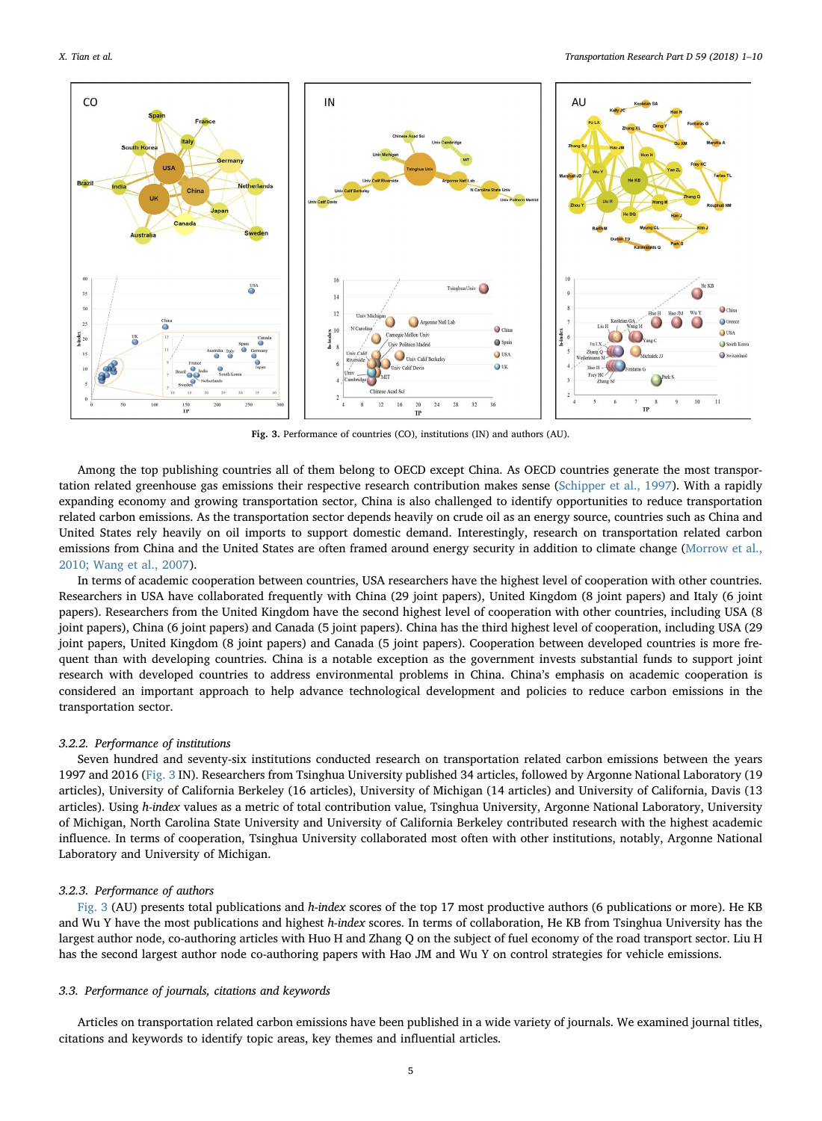<span id="page-4-0"></span>

Fig. 3. Performance of countries (CO), institutions (IN) and authors (AU).

Among the top publishing countries all of them belong to OECD except China. As OECD countries generate the most transportation related greenhouse gas emissions their respective research contribution makes sense [\(Schipper et al., 1997](#page-9-12)). With a rapidly expanding economy and growing transportation sector, China is also challenged to identify opportunities to reduce transportation related carbon emissions. As the transportation sector depends heavily on crude oil as an energy source, countries such as China and United States rely heavily on oil imports to support domestic demand. Interestingly, research on transportation related carbon emissions from China and the United States are often framed around energy security in addition to climate change [\(Morrow et al.,](#page-9-13) [2010; Wang et al., 2007](#page-9-13)).

In terms of academic cooperation between countries, USA researchers have the highest level of cooperation with other countries. Researchers in USA have collaborated frequently with China (29 joint papers), United Kingdom (8 joint papers) and Italy (6 joint papers). Researchers from the United Kingdom have the second highest level of cooperation with other countries, including USA (8 joint papers), China (6 joint papers) and Canada (5 joint papers). China has the third highest level of cooperation, including USA (29 joint papers, United Kingdom (8 joint papers) and Canada (5 joint papers). Cooperation between developed countries is more frequent than with developing countries. China is a notable exception as the government invests substantial funds to support joint research with developed countries to address environmental problems in China. China's emphasis on academic cooperation is considered an important approach to help advance technological development and policies to reduce carbon emissions in the transportation sector.

#### 3.2.2. Performance of institutions

Seven hundred and seventy-six institutions conducted research on transportation related carbon emissions between the years 1997 and 2016 ([Fig. 3](#page-4-0) IN). Researchers from Tsinghua University published 34 articles, followed by Argonne National Laboratory (19 articles), University of California Berkeley (16 articles), University of Michigan (14 articles) and University of California, Davis (13 articles). Using h-index values as a metric of total contribution value, Tsinghua University, Argonne National Laboratory, University of Michigan, North Carolina State University and University of California Berkeley contributed research with the highest academic influence. In terms of cooperation, Tsinghua University collaborated most often with other institutions, notably, Argonne National Laboratory and University of Michigan.

## 3.2.3. Performance of authors

[Fig. 3](#page-4-0) (AU) presents total publications and h-index scores of the top 17 most productive authors (6 publications or more). He KB and Wu Y have the most publications and highest h-index scores. In terms of collaboration, He KB from Tsinghua University has the largest author node, co-authoring articles with Huo H and Zhang Q on the subject of fuel economy of the road transport sector. Liu H has the second largest author node co-authoring papers with Hao JM and Wu Y on control strategies for vehicle emissions.

## 3.3. Performance of journals, citations and keywords

Articles on transportation related carbon emissions have been published in a wide variety of journals. We examined journal titles, citations and keywords to identify topic areas, key themes and influential articles.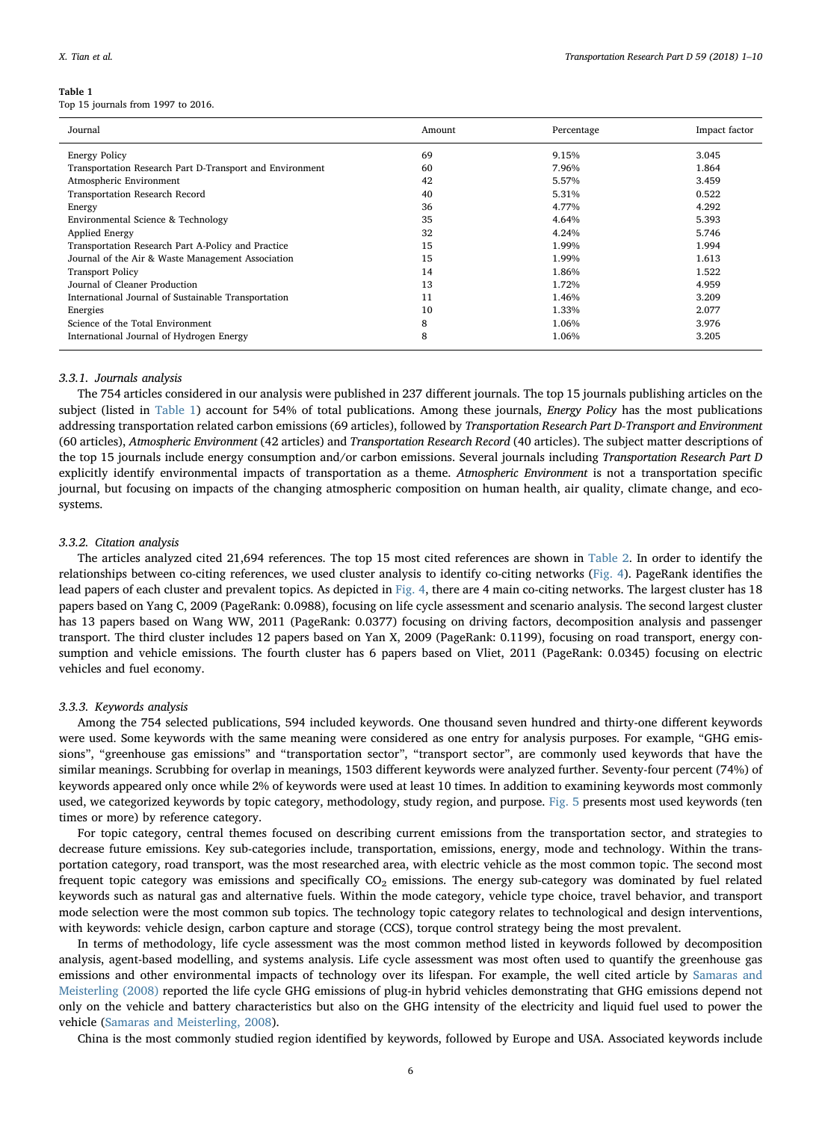#### <span id="page-5-0"></span>Table 1

Top 15 journals from 1997 to 2016.

| Journal                                                  | Amount | Percentage | Impact factor |
|----------------------------------------------------------|--------|------------|---------------|
| <b>Energy Policy</b>                                     | 69     | 9.15%      | 3.045         |
| Transportation Research Part D-Transport and Environment | 60     | 7.96%      | 1.864         |
| Atmospheric Environment                                  | 42     | 5.57%      | 3.459         |
| <b>Transportation Research Record</b>                    | 40     | 5.31%      | 0.522         |
| Energy                                                   | 36     | 4.77%      | 4.292         |
| Environmental Science & Technology                       | 35     | 4.64%      | 5.393         |
| <b>Applied Energy</b>                                    | 32     | 4.24%      | 5.746         |
| Transportation Research Part A-Policy and Practice       | 15     | 1.99%      | 1.994         |
| Journal of the Air & Waste Management Association        | 15     | 1.99%      | 1.613         |
| <b>Transport Policy</b>                                  | 14     | 1.86%      | 1.522         |
| Journal of Cleaner Production                            | 13     | 1.72%      | 4.959         |
| International Journal of Sustainable Transportation      | 11     | 1.46%      | 3.209         |
| Energies                                                 | 10     | 1.33%      | 2.077         |
| Science of the Total Environment                         | 8      | 1.06%      | 3.976         |
| International Journal of Hydrogen Energy                 | 8      | 1.06%      | 3.205         |

## 3.3.1. Journals analysis

The 754 articles considered in our analysis were published in 237 different journals. The top 15 journals publishing articles on the subject (listed in [Table 1](#page-5-0)) account for 54% of total publications. Among these journals, *Energy Policy* has the most publications addressing transportation related carbon emissions (69 articles), followed by Transportation Research Part D-Transport and Environment (60 articles), Atmospheric Environment (42 articles) and Transportation Research Record (40 articles). The subject matter descriptions of the top 15 journals include energy consumption and/or carbon emissions. Several journals including Transportation Research Part D explicitly identify environmental impacts of transportation as a theme. Atmospheric Environment is not a transportation specific journal, but focusing on impacts of the changing atmospheric composition on human health, air quality, climate change, and ecosystems.

## 3.3.2. Citation analysis

The articles analyzed cited 21,694 references. The top 15 most cited references are shown in [Table 2.](#page-6-0) In order to identify the relationships between co-citing references, we used cluster analysis to identify co-citing networks ([Fig. 4](#page-7-0)). PageRank identifies the lead papers of each cluster and prevalent topics. As depicted in [Fig. 4,](#page-7-0) there are 4 main co-citing networks. The largest cluster has 18 papers based on Yang C, 2009 (PageRank: 0.0988), focusing on life cycle assessment and scenario analysis. The second largest cluster has 13 papers based on Wang WW, 2011 (PageRank: 0.0377) focusing on driving factors, decomposition analysis and passenger transport. The third cluster includes 12 papers based on Yan X, 2009 (PageRank: 0.1199), focusing on road transport, energy consumption and vehicle emissions. The fourth cluster has 6 papers based on Vliet, 2011 (PageRank: 0.0345) focusing on electric vehicles and fuel economy.

#### 3.3.3. Keywords analysis

Among the 754 selected publications, 594 included keywords. One thousand seven hundred and thirty-one different keywords were used. Some keywords with the same meaning were considered as one entry for analysis purposes. For example, "GHG emissions", "greenhouse gas emissions" and "transportation sector", "transport sector", are commonly used keywords that have the similar meanings. Scrubbing for overlap in meanings, 1503 different keywords were analyzed further. Seventy-four percent (74%) of keywords appeared only once while 2% of keywords were used at least 10 times. In addition to examining keywords most commonly used, we categorized keywords by topic category, methodology, study region, and purpose. [Fig. 5](#page-7-1) presents most used keywords (ten times or more) by reference category.

For topic category, central themes focused on describing current emissions from the transportation sector, and strategies to decrease future emissions. Key sub-categories include, transportation, emissions, energy, mode and technology. Within the transportation category, road transport, was the most researched area, with electric vehicle as the most common topic. The second most frequent topic category was emissions and specifically  $CO<sub>2</sub>$  emissions. The energy sub-category was dominated by fuel related keywords such as natural gas and alternative fuels. Within the mode category, vehicle type choice, travel behavior, and transport mode selection were the most common sub topics. The technology topic category relates to technological and design interventions, with keywords: vehicle design, carbon capture and storage (CCS), torque control strategy being the most prevalent.

In terms of methodology, life cycle assessment was the most common method listed in keywords followed by decomposition analysis, agent-based modelling, and systems analysis. Life cycle assessment was most often used to quantify the greenhouse gas emissions and other environmental impacts of technology over its lifespan. For example, the well cited article by [Samaras and](#page-9-14) [Meisterling \(2008\)](#page-9-14) reported the life cycle GHG emissions of plug-in hybrid vehicles demonstrating that GHG emissions depend not only on the vehicle and battery characteristics but also on the GHG intensity of the electricity and liquid fuel used to power the vehicle ([Samaras and Meisterling, 2008\)](#page-9-14).

China is the most commonly studied region identified by keywords, followed by Europe and USA. Associated keywords include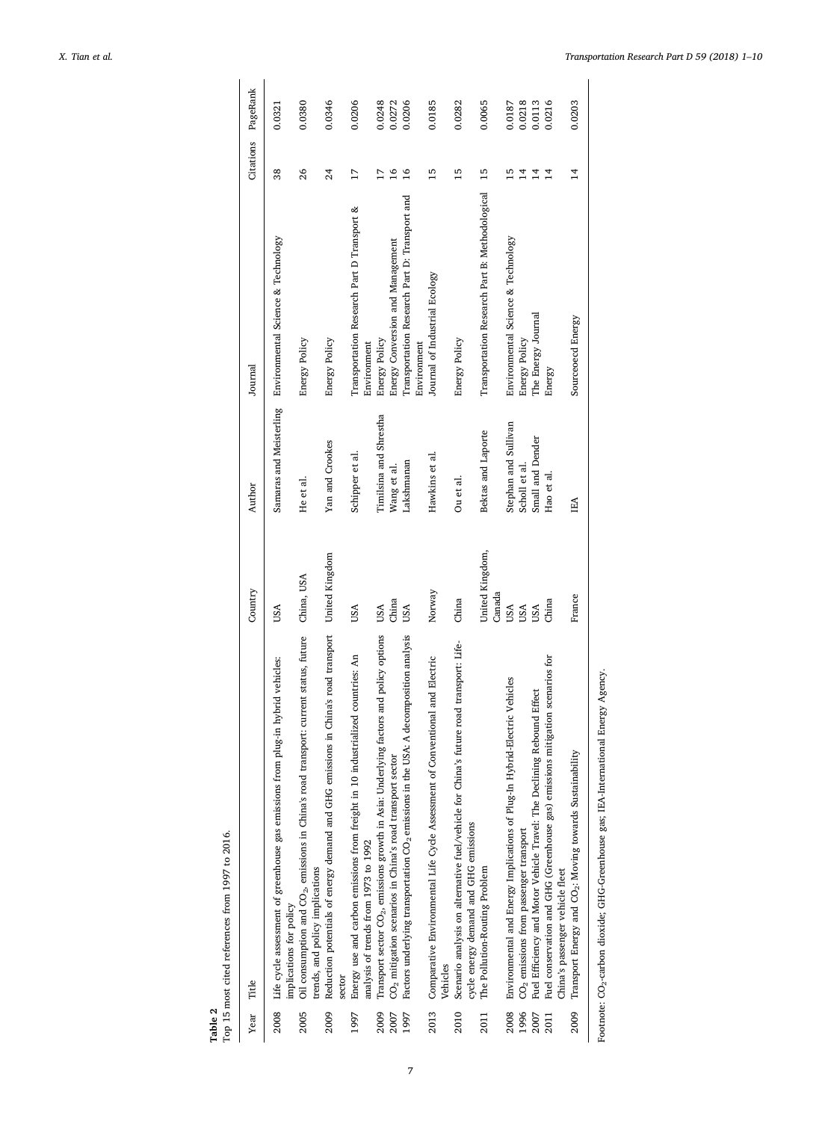X. Tian et al. *Transportation Research Part D 59 (2018) 1–10*

<span id="page-6-0"></span>

| Table 2 | Top 15 most cited references from 1997 to 2016.                                                                                     |                           |                        |                                                              |                 |          |
|---------|-------------------------------------------------------------------------------------------------------------------------------------|---------------------------|------------------------|--------------------------------------------------------------|-----------------|----------|
| Year    | Title                                                                                                                               | Country                   | Author                 | Journal                                                      | Citations       | PageRank |
| 2008    | Life cycle assessment of greenhouse gas emissions from plug-in hybrid vehicles:<br>implications for policy                          | USA                       |                        | Samaras and Meisterling Environmental Science & Technology   | 38              | 0.0321   |
| 2005    | Oil consumption and CO <sub>2</sub> , emissions in China's road transport: current status, future<br>rends, and policy implications | China, USA                | He et al.              | Energy Policy                                                | 26              | 0.0380   |
| 2009    | Reduction potentials of energy demand and GHG emissions in China's road transport United Kingdom<br>sector                          |                           | Yan and Crookes        | <b>Energy Policy</b>                                         | 24              | 0.0346   |
| 1997    | Energy use and carbon emissions from freight in 10 industrialized countries: An<br>analysis of trends from 1973 to 1992             | USA                       | Schipper et al.        | Transportation Research Part D Transport &<br>Environment    | $\overline{17}$ | 0.0206   |
| 2009    | factors and policy options<br>Transport sector CO <sub>2</sub> , emissions growth in Asia: Underlying                               | USA                       | Timilsina and Shrestha | Energy Policy                                                | 17              | 0.0248   |
| 2007    | CO <sub>2</sub> mitigation scenarios in China's road transport sector                                                               | China                     | Wang et al.            | Energy Conversion and Management                             | $\overline{16}$ | 0.0272   |
| 1997    | A decomposition analysis<br>Factors underlying transportation CO <sub>2</sub> emissions in the USA.                                 | USA                       | Lakshmanan             | Transportation Research Part D: Transport and<br>Environment | $\overline{16}$ | 0.0206   |
| 2013    | Comparative Environmental Life Cycle Assessment of Conventional and Electric<br>/ehides                                             | Norway                    | Hawkins et al.         | Journal of Industrial Ecology                                | 15              | 0.0185   |
| 2010    | Scenario analysis on alternative fuel/vehicle for China's future road transport: Life-<br>cycle energy demand and GHG emissions     | China                     | Ou et al.              | Energy Policy                                                | $\overline{15}$ | 0.0282   |
| 2011    | The Pollution-Routing Problem                                                                                                       | United Kingdom,<br>Canada | Bektas and Laporte     | Transportation Research Part B: Methodological               | 15              | 0.0065   |
| 2008    | Environmental and Energy Implications of Plug-In Hybrid-Electric Vehicles                                                           | USA                       | Stephan and Sullivan   | Environmental Science & Technology                           | $\overline{15}$ | 0.0187   |
| 1996    | CO <sub>2</sub> emissions from passenger transport                                                                                  | USA                       | Scholl et al.          | <b>Energy Policy</b>                                         | $\overline{1}$  | 0.0218   |
| 2007    | Fuel Efficiency and Motor Vehicle Travel: The Declining Rebound Effect                                                              | USA                       | Small and Dender       | The Energy Journal                                           | $\overline{14}$ | 0.0113   |
| 2011    | Fuel conservation and GHG (Greenhouse gas) emissions mitigation scenarios for<br>China's passenger vehicle fleet                    | China                     | Hao et al.             | Energy                                                       | $\overline{4}$  | 0.0216   |
| 2009    | Transport Energy and CO <sub>2</sub> : Moving towards Sustainability                                                                | France                    | EA                     | Sourceoecd Energy                                            | $\overline{1}$  | 0.0203   |

Footnote: CO2-carbon dioxide; GHG-Greenhouse gas; IEA-International Energy Agency. Footnote: CO2-carbon dioxide; GHG-Greenhouse gas; IEA-International Energy Agency.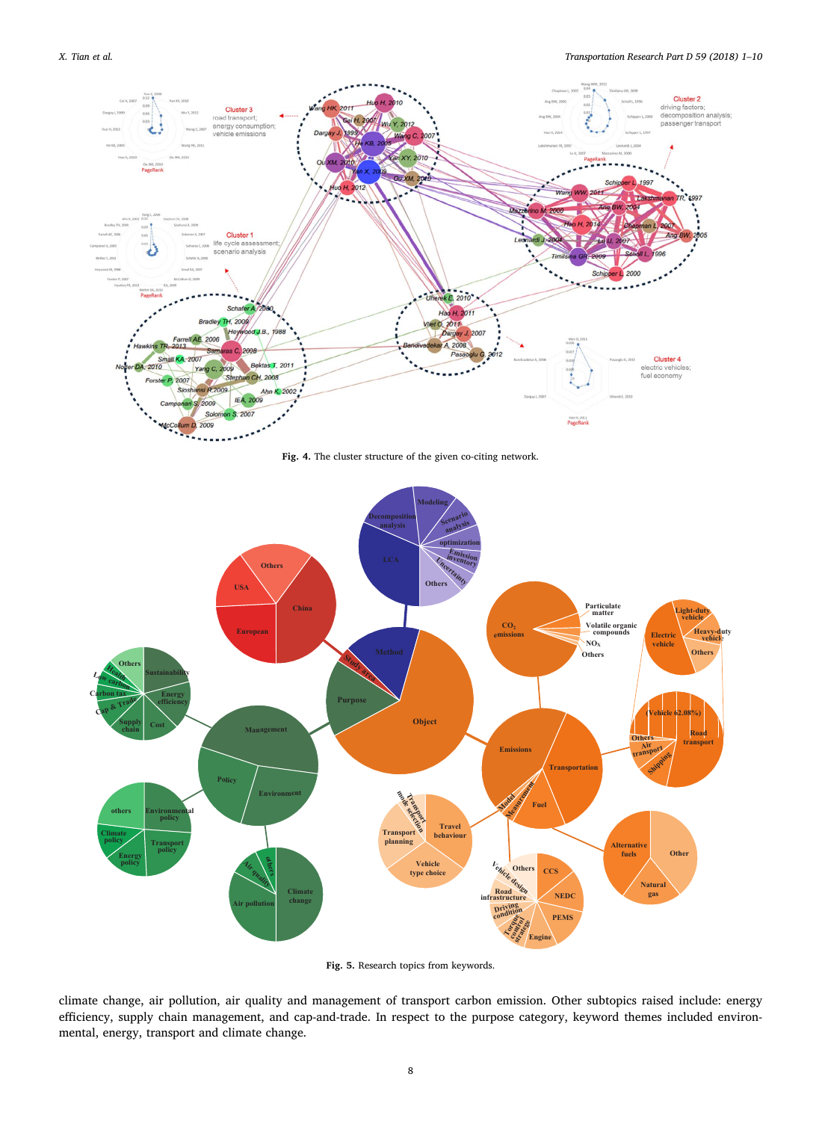<span id="page-7-0"></span>

Fig. 4. The cluster structure of the given co-citing network.

<span id="page-7-1"></span>

Fig. 5. Research topics from keywords.

climate change, air pollution, air quality and management of transport carbon emission. Other subtopics raised include: energy efficiency, supply chain management, and cap-and-trade. In respect to the purpose category, keyword themes included environmental, energy, transport and climate change.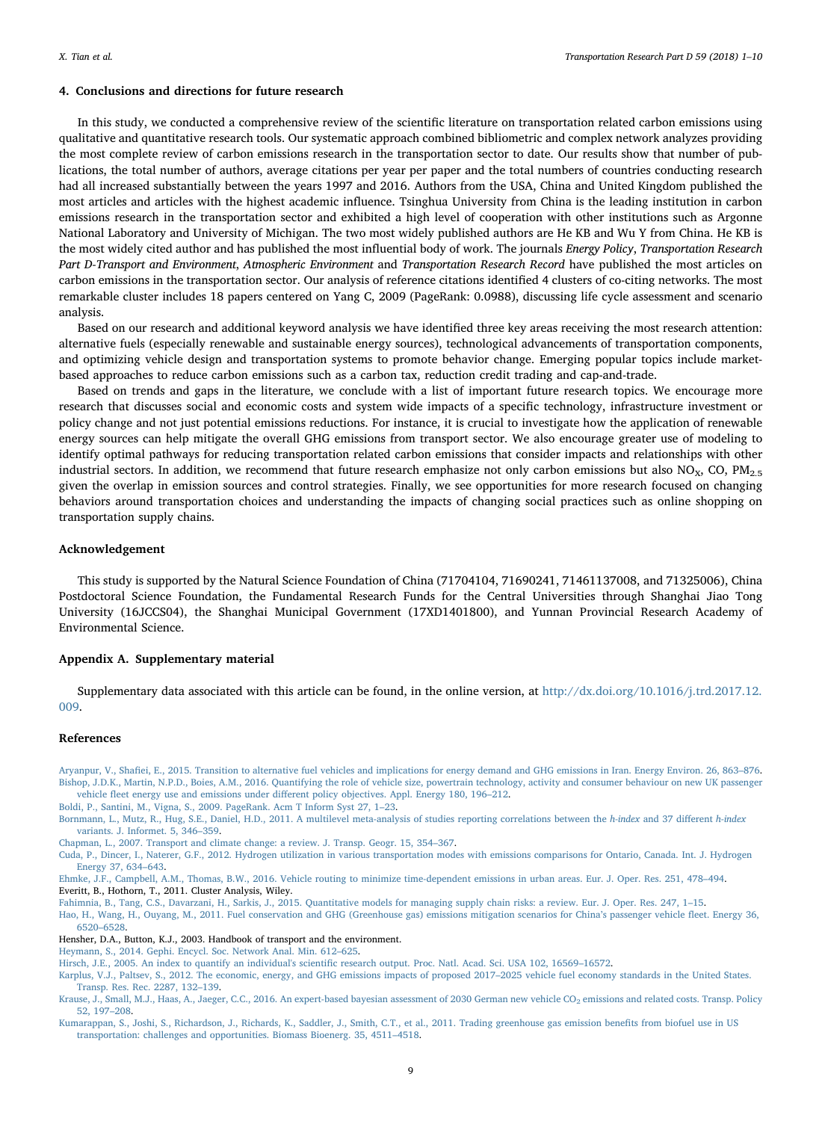## <span id="page-8-8"></span>4. Conclusions and directions for future research

In this study, we conducted a comprehensive review of the scientific literature on transportation related carbon emissions using qualitative and quantitative research tools. Our systematic approach combined bibliometric and complex network analyzes providing the most complete review of carbon emissions research in the transportation sector to date. Our results show that number of publications, the total number of authors, average citations per year per paper and the total numbers of countries conducting research had all increased substantially between the years 1997 and 2016. Authors from the USA, China and United Kingdom published the most articles and articles with the highest academic influence. Tsinghua University from China is the leading institution in carbon emissions research in the transportation sector and exhibited a high level of cooperation with other institutions such as Argonne National Laboratory and University of Michigan. The two most widely published authors are He KB and Wu Y from China. He KB is the most widely cited author and has published the most influential body of work. The journals Energy Policy, Transportation Research Part D-Transport and Environment, Atmospheric Environment and Transportation Research Record have published the most articles on carbon emissions in the transportation sector. Our analysis of reference citations identified 4 clusters of co-citing networks. The most remarkable cluster includes 18 papers centered on Yang C, 2009 (PageRank: 0.0988), discussing life cycle assessment and scenario analysis.

Based on our research and additional keyword analysis we have identified three key areas receiving the most research attention: alternative fuels (especially renewable and sustainable energy sources), technological advancements of transportation components, and optimizing vehicle design and transportation systems to promote behavior change. Emerging popular topics include marketbased approaches to reduce carbon emissions such as a carbon tax, reduction credit trading and cap-and-trade.

Based on trends and gaps in the literature, we conclude with a list of important future research topics. We encourage more research that discusses social and economic costs and system wide impacts of a specific technology, infrastructure investment or policy change and not just potential emissions reductions. For instance, it is crucial to investigate how the application of renewable energy sources can help mitigate the overall GHG emissions from transport sector. We also encourage greater use of modeling to identify optimal pathways for reducing transportation related carbon emissions that consider impacts and relationships with other industrial sectors. In addition, we recommend that future research emphasize not only carbon emissions but also  $NO_{X}$ , CO,  $PM_{2.5}$ given the overlap in emission sources and control strategies. Finally, we see opportunities for more research focused on changing behaviors around transportation choices and understanding the impacts of changing social practices such as online shopping on transportation supply chains.

## Acknowledgement

This study is supported by the Natural Science Foundation of China (71704104, 71690241, 71461137008, and 71325006), China Postdoctoral Science Foundation, the Fundamental Research Funds for the Central Universities through Shanghai Jiao Tong University (16JCCS04), the Shanghai Municipal Government (17XD1401800), and Yunnan Provincial Research Academy of Environmental Science.

#### Appendix A. Supplementary material

Supplementary data associated with this article can be found, in the online version, at [http://dx.doi.org/10.1016/j.trd.2017.12.](http://dx.doi.org/10.1016/j.trd.2017.12.009) [009](http://dx.doi.org/10.1016/j.trd.2017.12.009).

#### References

<span id="page-8-6"></span>Aryanpur, V., Shafi[ei, E., 2015. Transition to alternative fuel vehicles and implications for energy demand and GHG emissions in Iran. Energy Environ. 26, 863](http://refhub.elsevier.com/S1361-9209(17)30774-5/h0005)–876. [Bishop, J.D.K., Martin, N.P.D., Boies, A.M., 2016. Quantifying the role of vehicle size, powertrain technology, activity and consumer behaviour on new UK passenger](http://refhub.elsevier.com/S1361-9209(17)30774-5/h0010) vehicle fleet energy use and emissions under diff[erent policy objectives. Appl. Energy 180, 196](http://refhub.elsevier.com/S1361-9209(17)30774-5/h0010)–212.

<span id="page-8-12"></span>[Boldi, P., Santini, M., Vigna, S., 2009. PageRank. Acm T Inform Syst 27, 1](http://refhub.elsevier.com/S1361-9209(17)30774-5/h0015)–23.

<span id="page-8-13"></span>[Bornmann, L., Mutz, R., Hug, S.E., Daniel, H.D., 2011. A multilevel meta-analysis of studies reporting correlations between the](http://refhub.elsevier.com/S1361-9209(17)30774-5/h0020) h-index and 37 different h-index [variants. J. Informet. 5, 346](http://refhub.elsevier.com/S1361-9209(17)30774-5/h0020)–359.

<span id="page-8-1"></span>[Chapman, L., 2007. Transport and climate change: a review. J. Transp. Geogr. 15, 354](http://refhub.elsevier.com/S1361-9209(17)30774-5/h0025)–367.

<span id="page-8-4"></span>[Cuda, P., Dincer, I., Naterer, G.F., 2012. Hydrogen utilization in various transportation modes with emissions comparisons for Ontario, Canada. Int. J. Hydrogen](http://refhub.elsevier.com/S1361-9209(17)30774-5/h0030) [Energy 37, 634](http://refhub.elsevier.com/S1361-9209(17)30774-5/h0030)–643.

<span id="page-8-7"></span>[Ehmke, J.F., Campbell, A.M., Thomas, B.W., 2016. Vehicle routing to minimize time-dependent emissions in urban areas. Eur. J. Oper. Res. 251, 478](http://refhub.elsevier.com/S1361-9209(17)30774-5/h0035)–494.

<span id="page-8-11"></span>Everitt, B., Hothorn, T., 2011. Cluster Analysis, Wiley.

<span id="page-8-9"></span>[Fahimnia, B., Tang, C.S., Davarzani, H., Sarkis, J., 2015. Quantitative models for managing supply chain risks: a review. Eur. J. Oper. Res. 247, 1](http://refhub.elsevier.com/S1361-9209(17)30774-5/h0045)–15.

<span id="page-8-2"></span>[Hao, H., Wang, H., Ouyang, M., 2011. Fuel conservation and GHG \(Greenhouse gas\) emissions mitigation scenarios for China](http://refhub.elsevier.com/S1361-9209(17)30774-5/h0050)'s passenger vehicle fleet. Energy 36, 6520–[6528.](http://refhub.elsevier.com/S1361-9209(17)30774-5/h0050)

<span id="page-8-0"></span>Hensher, D.A., Button, K.J., 2003. Handbook of transport and the environment.

<span id="page-8-10"></span>[Heymann, S., 2014. Gephi. Encycl. Soc. Network Anal. Min. 612](http://refhub.elsevier.com/S1361-9209(17)30774-5/h0060)–625.

[Hirsch, J.E., 2005. An index to quantify an individual's scienti](http://refhub.elsevier.com/S1361-9209(17)30774-5/h0065)fic research output. Proc. Natl. Acad. Sci. USA 102, 16569–16572.

<span id="page-8-3"></span>[Karplus, V.J., Paltsev, S., 2012. The economic, energy, and GHG emissions impacts of proposed 2017](http://refhub.elsevier.com/S1361-9209(17)30774-5/h0070)–2025 vehicle fuel economy standards in the United States. [Transp. Res. Rec. 2287, 132](http://refhub.elsevier.com/S1361-9209(17)30774-5/h0070)–139.

<span id="page-8-5"></span>Krause, J., Small, M.J., Haas, A., Jaeger, C.C., 2016. An expert-based bayesian assessment of 2030 German new vehicle CO<sub>2</sub> emissions and related costs. Transp. Policy [52, 197](http://refhub.elsevier.com/S1361-9209(17)30774-5/h0075)–208.

[Kumarappan, S., Joshi, S., Richardson, J., Richards, K., Saddler, J., Smith, C.T., et al., 2011. Trading greenhouse gas emission bene](http://refhub.elsevier.com/S1361-9209(17)30774-5/h0080)fits from biofuel use in US [transportation: challenges and opportunities. Biomass Bioenerg. 35, 4511](http://refhub.elsevier.com/S1361-9209(17)30774-5/h0080)–4518.